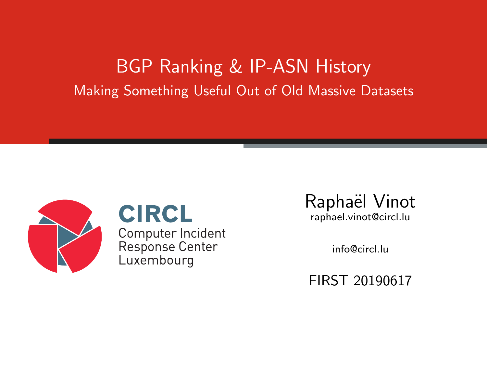#### BGP Ranking & IP-ASN History Making Something Useful Out of Old Massive Datasets



**CIRCL** Computer Incident Response Center Luxembourg

Raphaël Vinot raphael.vinot@circl.lu

info@circl.lu

FIRST 20190617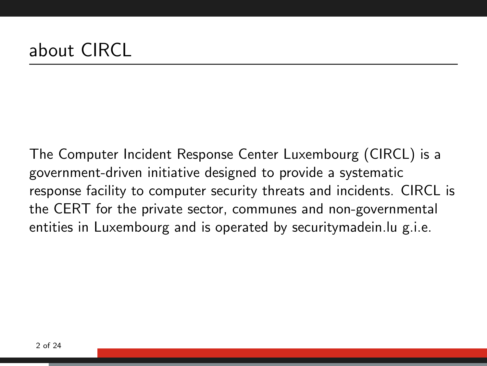The Computer Incident Response Center Luxembourg (CIRCL) is a government-driven initiative designed to provide a systematic response facility to computer security threats and incidents. CIRCL is the CERT for the private sector, communes and non-governmental entities in Luxembourg and is operated by securitymadein.lu g.i.e.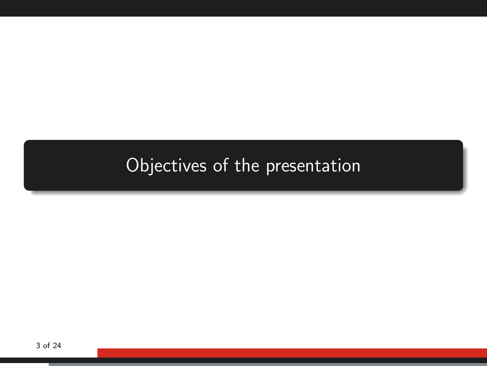#### <span id="page-2-0"></span>[Objectives of the presentation](#page-2-0)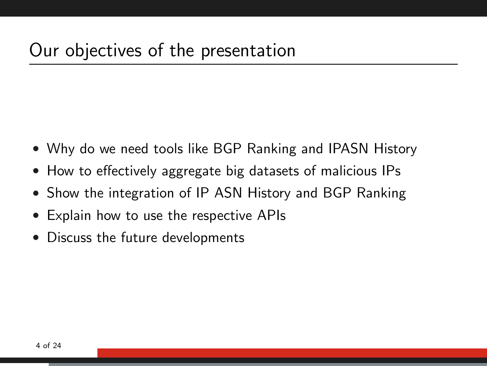- Why do we need tools like BGP Ranking and IPASN History
- How to effectively aggregate big datasets of malicious IPs
- Show the integration of IP ASN History and BGP Ranking
- Explain how to use the respective APIs
- Discuss the future developments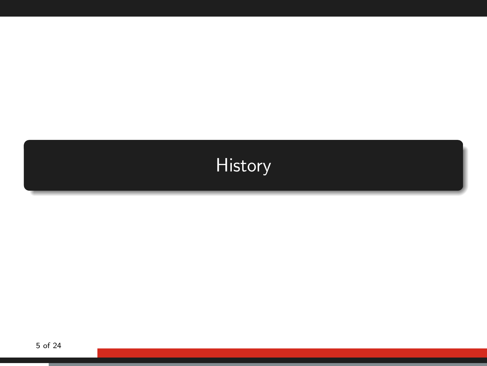# <span id="page-4-0"></span>**[History](#page-4-0)**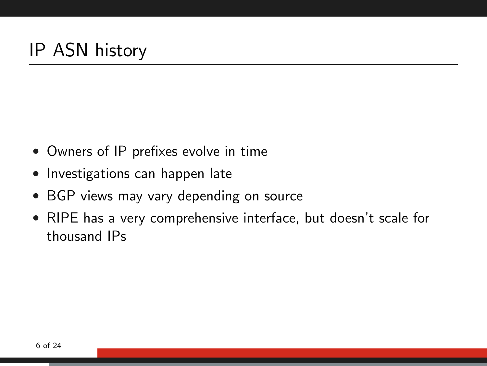- Owners of IP prefixes evolve in time
- Investigations can happen late
- BGP views may vary depending on source
- RIPE has a very comprehensive interface, but doesn't scale for thousand IPs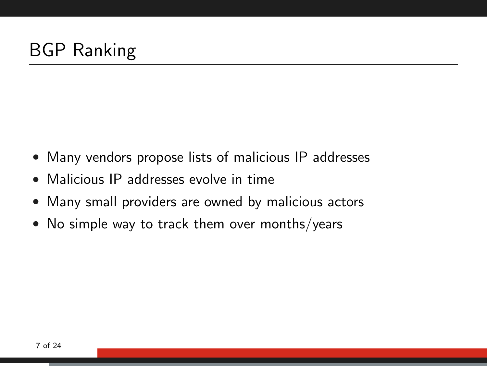- Many vendors propose lists of malicious IP addresses
- Malicious IP addresses evolve in time
- Many small providers are owned by malicious actors
- No simple way to track them over months/years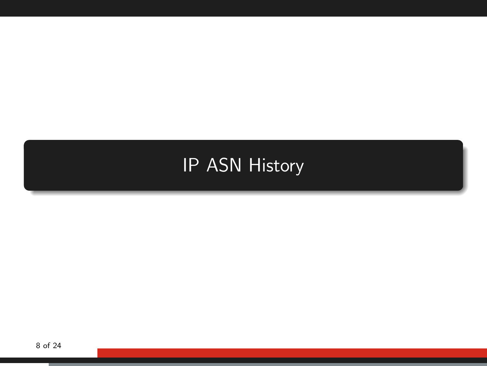## <span id="page-7-0"></span>[IP ASN History](#page-7-0)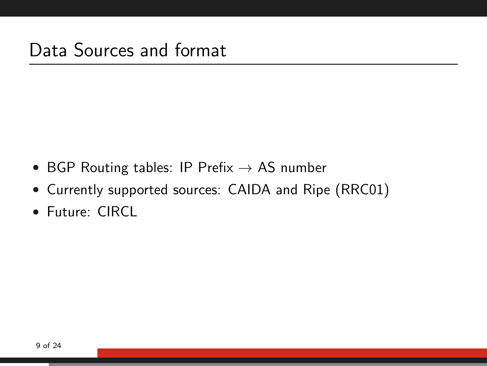- BGP Routing tables: IP Prefix  $\rightarrow$  AS number
- Currently supported sources: CAIDA and Ripe (RRC01)
- Future: CIRCL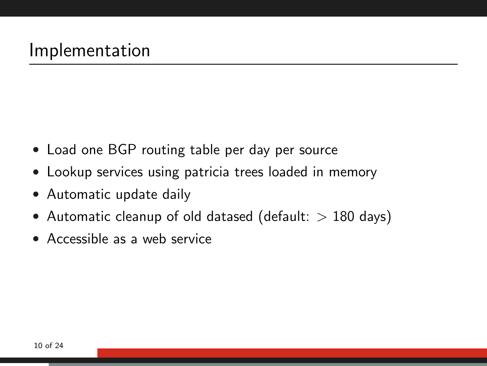- Load one BGP routing table per day per source
- Lookup services using patricia trees loaded in memory
- Automatic update daily
- Automatic cleanup of old datased (default:  $> 180$  days)
- Accessible as a web service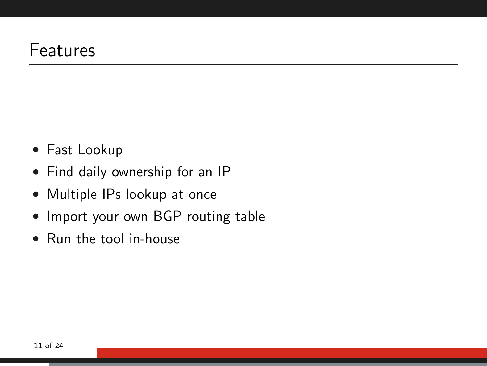- Fast Lookup
- Find daily ownership for an IP
- Multiple IPs lookup at once
- Import your own BGP routing table
- Run the tool in-house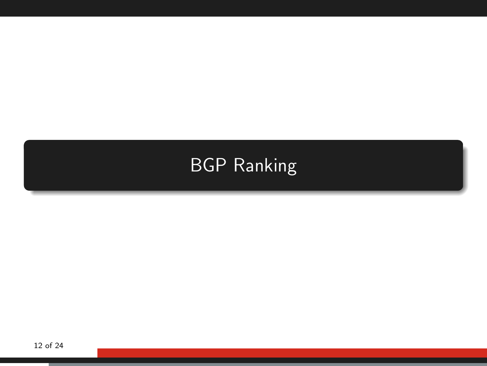## <span id="page-11-0"></span>[BGP Ranking](#page-11-0)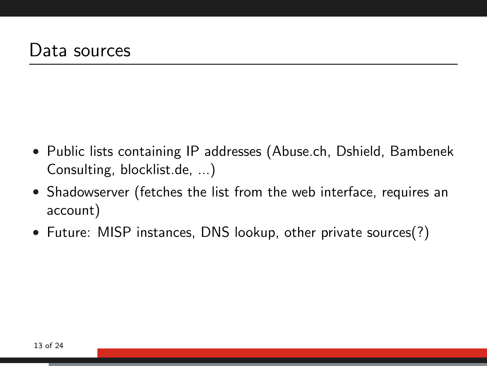- Public lists containing IP addresses (Abuse.ch, Dshield, Bambenek Consulting, blocklist.de, ...)
- Shadowserver (fetches the list from the web interface, requires an account)
- Future: MISP instances, DNS lookup, other private sources(?)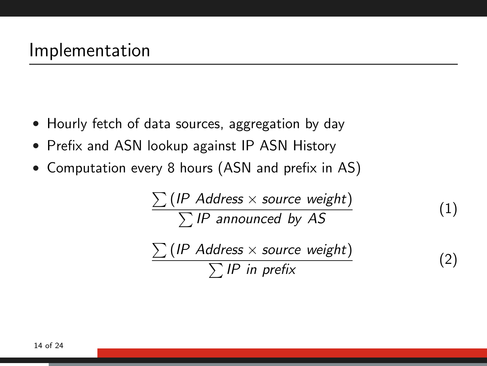- Hourly fetch of data sources, aggregation by day
- Prefix and ASN lookup against IP ASN History
- Computation every 8 hours (ASN and prefix in AS)

$$
\frac{\sum (IP Address \times source weight)}{\sum IP announced by AS}
$$
 (1)  

$$
\frac{\sum (IP Address \times source weight)}{\sum IP in prefix}
$$
 (2)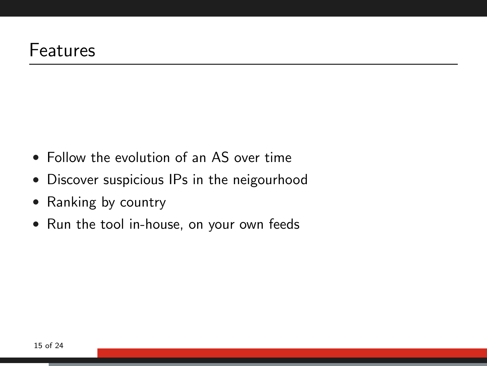- Follow the evolution of an AS over time
- Discover suspicious IPs in the neigourhood
- Ranking by country
- Run the tool in-house, on your own feeds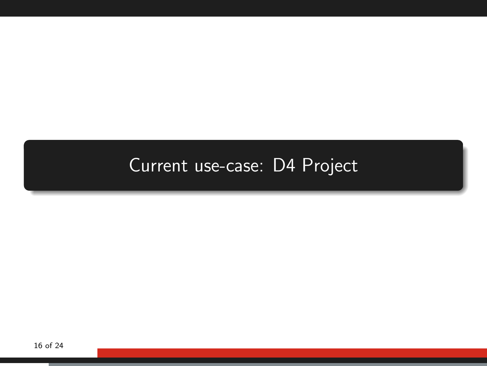## <span id="page-15-0"></span>[Current use-case: D4 Project](#page-15-0)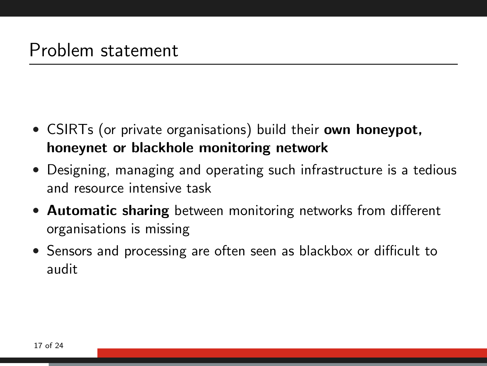- CSIRTs (or private organisations) build their **own honeypot**, honeynet or blackhole monitoring network
- Designing, managing and operating such infrastructure is a tedious and resource intensive task
- Automatic sharing between monitoring networks from different organisations is missing
- Sensors and processing are often seen as blackbox or difficult to audit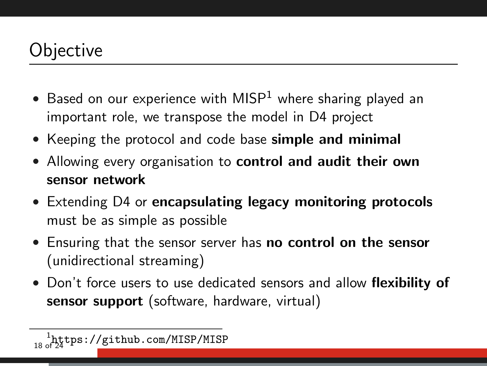#### **Objective**

- Based on our experience with MISP<sup>1</sup> where sharing played an important role, we transpose the model in D4 project
- Keeping the protocol and code base simple and minimal
- Allowing every organisation to **control and audit their own** sensor network
- Extending D4 or **encapsulating legacy monitoring protocols** must be as simple as possible
- Ensuring that the sensor server has no control on the sensor (unidirectional streaming)
- Don't force users to use dedicated sensors and allow flexibility of sensor support (software, hardware, virtual)

<sup>18</sup> of 24 tps://github.com/MISP/MISP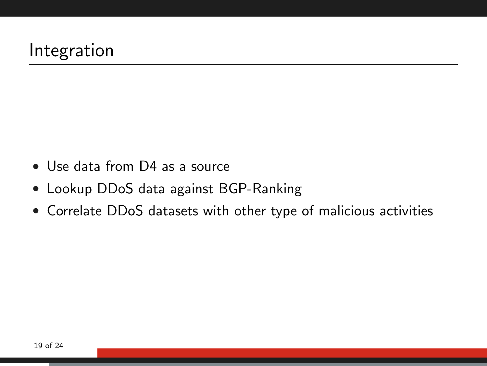- Use data from D4 as a source
- Lookup DDoS data against BGP-Ranking
- Correlate DDoS datasets with other type of malicious activities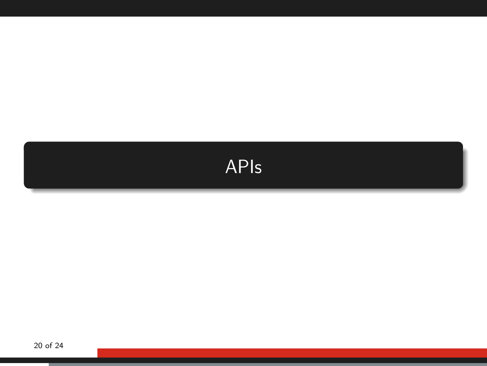<span id="page-19-0"></span>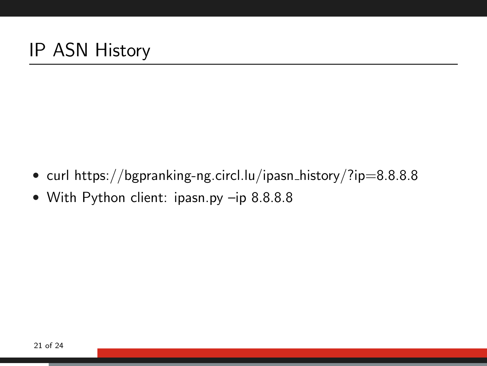- curl https://bgpranking-ng.circl.lu/ipasn\_history/?ip=8.8.8.8
- With Python client: ipasn.py –ip 8.8.8.8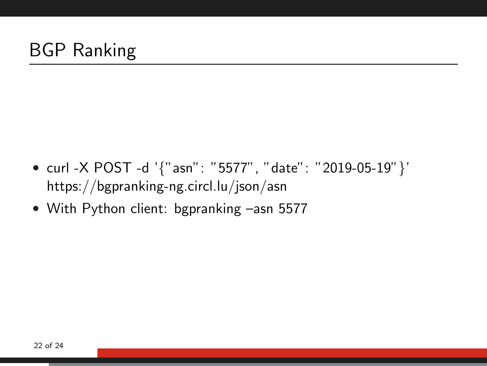- curl -X POST -d '{"asn": "5577", "date": "2019-05-19"}' https://bgpranking-ng.circl.lu/json/asn
- With Python client: bgpranking –asn 5577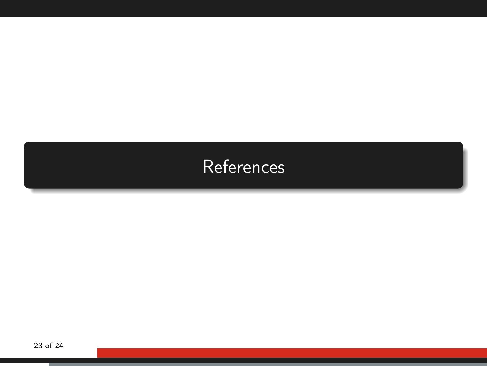<span id="page-22-0"></span>